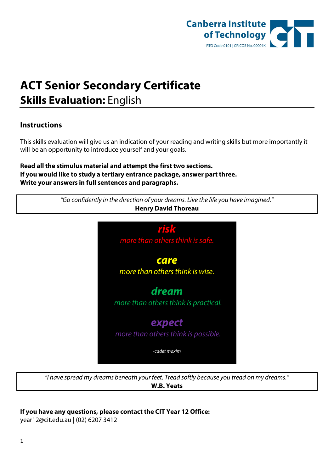

## **ACT Senior Secondary Certificate Skills Evaluation:** English

## **Instructions**

This skills evaluation will give us an indication of your reading and writing skills but more importantly it will be an opportunity to introduce yourself and your goals.

**Read all the stimulus material and attempt the first two sections. If you would like to study a tertiary entrance package, answer part three. Write your answers in full sentences and paragraphs.**

| <b>Henry David Thoreau</b>           |
|--------------------------------------|
| risk                                 |
| more than others think is safe.      |
| care                                 |
| more than others think is wise.      |
| dream                                |
| more than others think is practical. |
| expect                               |
| more than others think is possible.  |
| -cadet maxim                         |

*"I have spread my dreams beneath your feet. Tread softly because you tread on my dreams."*  **W.B. Yeats**

## **If you have any questions, please contact the CIT Year 12 Office:**

[year12@cit.edu.au](mailto:year12@cit.edu.au) | (02) 6207 3412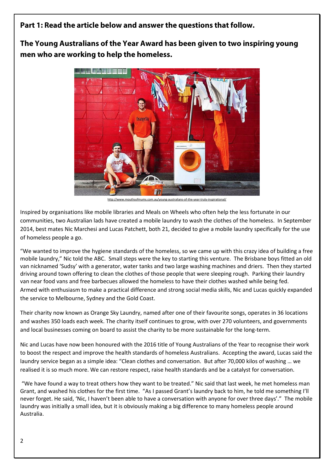**Part 1: Read the article below and answer the questions that follow.** 

**The Young Australians of the Year Award has been given to two inspiring young men who are working to help the homeless.**



<http://www.mouthsofmums.com.au/young-australians-of-the-year-truly-inspirational/>

Inspired by organisations like mobile libraries and Meals on Wheels who often help the less fortunate in our communities, two Australian lads have created a mobile laundry to wash the clothes of the homeless. In September 2014, best mates Nic Marchesi and Lucas Patchett, both 21, decided to give a mobile laundry specifically for the use of homeless people a go.

"We wanted to improve the hygiene standards of the homeless, so we came up with this crazy idea of building a free mobile laundry," Nic told the ABC. Small steps were the key to starting this venture. The Brisbane boys fitted an old van nicknamed 'Sudsy' with a generator, water tanks and two large washing machines and driers. Then they started driving around town offering to clean the clothes of those people that were sleeping rough. Parking their laundry van near food vans and free barbecues allowed the homeless to have their clothes washed while being fed. Armed with enthusiasm to make a practical difference and strong social media skills, Nic and Lucas quickly expanded the service to Melbourne, Sydney and the Gold Coast.

Their charity now known as Orange Sky Laundry, named after one of their favourite songs, operates in 36 locations and washes 350 loads each week. The charity itself continues to grow, with over 270 volunteers, and governments and local businesses coming on board to assist the charity to be more sustainable for the long-term.

Nic and Lucas have now been honoured with the 2016 title of Young Australians of the Year to recognise their work to boost the respect and improve the health standards of homeless Australians. Accepting the award, Lucas said the laundry service began as a simple idea: "Clean clothes and conversation. But after 70,000 kilos of washing … we realised it is so much more. We can restore respect, raise health standards and be a catalyst for conversation.

"We have found a way to treat others how they want to be treated." Nic said that last week, he met homeless man Grant, and washed his clothes for the first time. "As I passed Grant's laundry back to him, he told me something I'll never forget. He said, 'Nic, I haven't been able to have a conversation with anyone for over three days'." The mobile laundry was initially a small idea, but it is obviously making a big difference to many homeless people around Australia.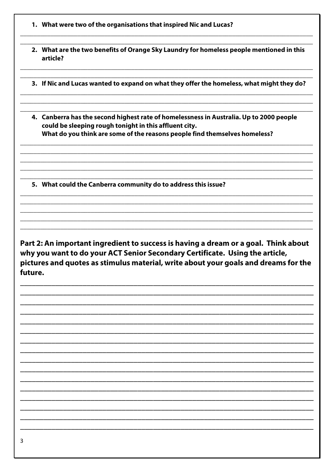- 1. What were two of the organisations that inspired Nic and Lucas?
- 2. What are the two benefits of Orange Sky Laundry for homeless people mentioned in this article?
- 3. If Nic and Lucas wanted to expand on what they offer the homeless, what might they do?
- 4. Canberra has the second highest rate of homelessness in Australia. Up to 2000 people could be sleeping rough tonight in this affluent city. What do you think are some of the reasons people find themselves homeless?

5. What could the Canberra community do to address this issue?

Part 2: An important ingredient to success is having a dream or a goal. Think about why you want to do your ACT Senior Secondary Certificate. Using the article, pictures and quotes as stimulus material, write about your goals and dreams for the future.